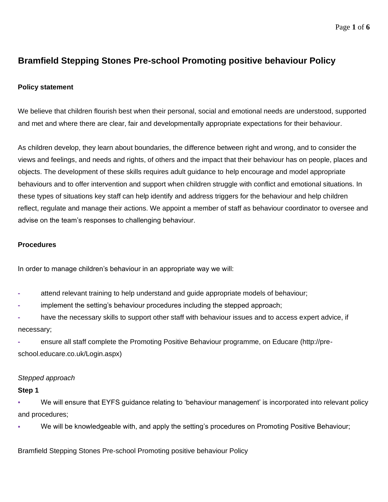# **Bramfield Stepping Stones Pre-school Promoting positive behaviour Policy**

# **Policy statement**

We believe that children flourish best when their personal, social and emotional needs are understood, supported and met and where there are clear, fair and developmentally appropriate expectations for their behaviour.

As children develop, they learn about boundaries, the difference between right and wrong, and to consider the views and feelings, and needs and rights, of others and the impact that their behaviour has on people, places and objects. The development of these skills requires adult guidance to help encourage and model appropriate behaviours and to offer intervention and support when children struggle with conflict and emotional situations. In these types of situations key staff can help identify and address triggers for the behaviour and help children reflect, regulate and manage their actions. We appoint a member of staff as behaviour coordinator to oversee and advise on the team's responses to challenging behaviour.

### **Procedures**

In order to manage children's behaviour in an appropriate way we will:

- **-** attend relevant training to help understand and guide appropriate models of behaviour;
- **-** implement the setting's behaviour procedures including the stepped approach;
- **-** have the necessary skills to support other staff with behaviour issues and to access expert advice, if necessary;

**-** ensure all staff complete the Promoting Positive Behaviour programme, on Educare (http://preschool.educare.co.uk/Login.aspx)

# *Stepped approach*

#### **Step 1**

We will ensure that EYFS guidance relating to 'behaviour management' is incorporated into relevant policy and procedures;

We will be knowledgeable with, and apply the setting's procedures on Promoting Positive Behaviour;

Bramfield Stepping Stones Pre-school Promoting positive behaviour Policy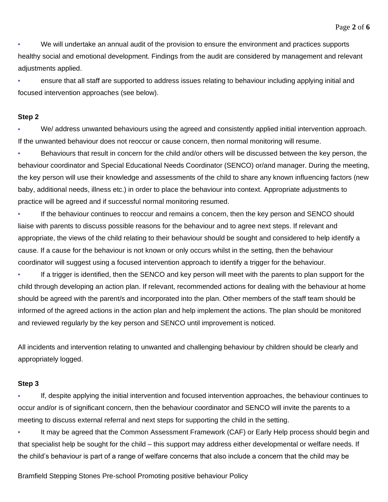▪ We will undertake an annual audit of the provision to ensure the environment and practices supports healthy social and emotional development. Findings from the audit are considered by management and relevant adjustments applied.

ensure that all staff are supported to address issues relating to behaviour including applying initial and focused intervention approaches (see below).

#### **Step 2**

We/ address unwanted behaviours using the agreed and consistently applied initial intervention approach. If the unwanted behaviour does not reoccur or cause concern, then normal monitoring will resume.

Behaviours that result in concern for the child and/or others will be discussed between the key person, the behaviour coordinator and Special Educational Needs Coordinator (SENCO) or/and manager. During the meeting, the key person will use their knowledge and assessments of the child to share any known influencing factors (new baby, additional needs, illness etc.) in order to place the behaviour into context. Appropriate adjustments to practice will be agreed and if successful normal monitoring resumed.

**▪** If the behaviour continues to reoccur and remains a concern, then the key person and SENCO should liaise with parents to discuss possible reasons for the behaviour and to agree next steps. If relevant and appropriate, the views of the child relating to their behaviour should be sought and considered to help identify a cause. If a cause for the behaviour is not known or only occurs whilst in the setting, then the behaviour coordinator will suggest using a focused intervention approach to identify a trigger for the behaviour.

**▪** If a trigger is identified, then the SENCO and key person will meet with the parents to plan support for the child through developing an action plan. If relevant, recommended actions for dealing with the behaviour at home should be agreed with the parent/s and incorporated into the plan. Other members of the staff team should be informed of the agreed actions in the action plan and help implement the actions. The plan should be monitored and reviewed regularly by the key person and SENCO until improvement is noticed.

All incidents and intervention relating to unwanted and challenging behaviour by children should be clearly and appropriately logged.

# **Step 3**

**▪** If, despite applying the initial intervention and focused intervention approaches, the behaviour continues to occur and/or is of significant concern, then the behaviour coordinator and SENCO will invite the parents to a meeting to discuss external referral and next steps for supporting the child in the setting.

**■ It may be agreed that the Common Assessment Framework (CAF) or Early Help process should begin and** that specialist help be sought for the child – this support may address either developmental or welfare needs. If the child's behaviour is part of a range of welfare concerns that also include a concern that the child may be

Bramfield Stepping Stones Pre-school Promoting positive behaviour Policy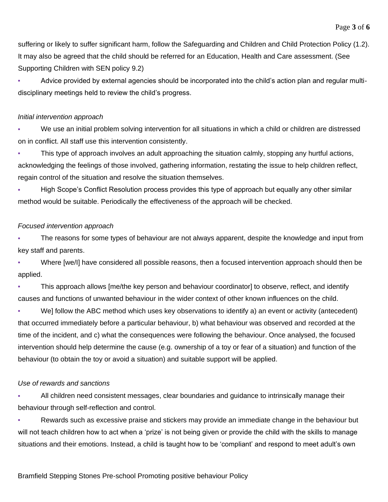suffering or likely to suffer significant harm, follow the Safeguarding and Children and Child Protection Policy (1.2). It may also be agreed that the child should be referred for an Education, Health and Care assessment. (See Supporting Children with SEN policy 9.2)

**▪** Advice provided by external agencies should be incorporated into the child's action plan and regular multidisciplinary meetings held to review the child's progress.

# *Initial intervention approach*

We use an initial problem solving intervention for all situations in which a child or children are distressed on in conflict. All staff use this intervention consistently.

This type of approach involves an adult approaching the situation calmly, stopping any hurtful actions, acknowledging the feelings of those involved, gathering information, restating the issue to help children reflect, regain control of the situation and resolve the situation themselves.

High Scope's Conflict Resolution process provides this type of approach but equally any other similar method would be suitable. Periodically the effectiveness of the approach will be checked.

# *Focused intervention approach*

The reasons for some types of behaviour are not always apparent, despite the knowledge and input from key staff and parents.

Where [we/I] have considered all possible reasons, then a focused intervention approach should then be applied.

This approach allows [me/the key person and behaviour coordinator] to observe, reflect, and identify causes and functions of unwanted behaviour in the wider context of other known influences on the child.

We] follow the ABC method which uses key observations to identify a) an event or activity (antecedent) that occurred immediately before a particular behaviour, b) what behaviour was observed and recorded at the time of the incident, and c) what the consequences were following the behaviour. Once analysed, the focused intervention should help determine the cause (e.g. ownership of a toy or fear of a situation) and function of the behaviour (to obtain the toy or avoid a situation) and suitable support will be applied.

# *Use of rewards and sanctions*

**▪** All children need consistent messages, clear boundaries and guidance to intrinsically manage their behaviour through self-reflection and control.

**▪** Rewards such as excessive praise and stickers may provide an immediate change in the behaviour but will not teach children how to act when a 'prize' is not being given or provide the child with the skills to manage situations and their emotions. Instead, a child is taught how to be 'compliant' and respond to meet adult's own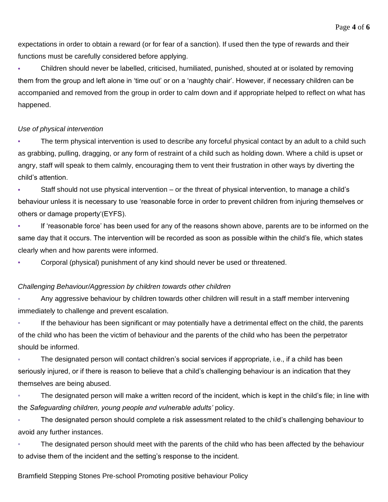expectations in order to obtain a reward (or for fear of a sanction). If used then the type of rewards and their functions must be carefully considered before applying.

**▪** Children should never be labelled, criticised, humiliated, punished, shouted at or isolated by removing them from the group and left alone in 'time out' or on a 'naughty chair'. However, if necessary children can be accompanied and removed from the group in order to calm down and if appropriate helped to reflect on what has happened.

#### *Use of physical intervention*

The term physical intervention is used to describe any forceful physical contact by an adult to a child such as grabbing, pulling, dragging, or any form of restraint of a child such as holding down. Where a child is upset or angry, staff will speak to them calmly, encouraging them to vent their frustration in other ways by diverting the child's attention.

**▪** Staff should not use physical intervention – or the threat of physical intervention, to manage a child's behaviour unless it is necessary to use 'reasonable force in order to prevent children from injuring themselves or others or damage property'(EYFS).

**▪** If 'reasonable force' has been used for any of the reasons shown above, parents are to be informed on the same day that it occurs. The intervention will be recorded as soon as possible within the child's file, which states clearly when and how parents were informed.

**▪** Corporal (physical) punishment of any kind should never be used or threatened.

#### *Challenging Behaviour/Aggression by children towards other children*

Any aggressive behaviour by children towards other children will result in a staff member intervening immediately to challenge and prevent escalation.

If the behaviour has been significant or may potentially have a detrimental effect on the child, the parents of the child who has been the victim of behaviour and the parents of the child who has been the perpetrator should be informed.

The designated person will contact children's social services if appropriate, i.e., if a child has been seriously injured, or if there is reason to believe that a child's challenging behaviour is an indication that they themselves are being abused.

The designated person will make a written record of the incident, which is kept in the child's file; in line with the *Safeguarding children, young people and vulnerable adults'* policy.

The designated person should complete a risk assessment related to the child's challenging behaviour to avoid any further instances.

The designated person should meet with the parents of the child who has been affected by the behaviour to advise them of the incident and the setting's response to the incident.

#### Bramfield Stepping Stones Pre-school Promoting positive behaviour Policy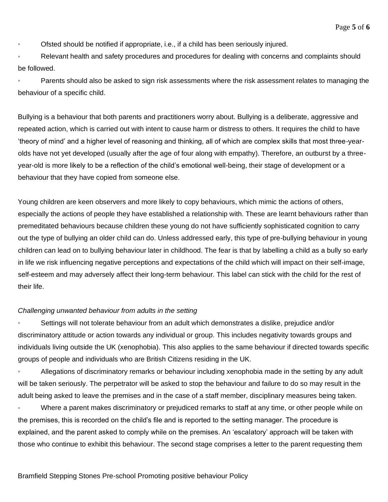Ofsted should be notified if appropriate, i.e., if a child has been seriously injured.

Relevant health and safety procedures and procedures for dealing with concerns and complaints should be followed.

Parents should also be asked to sign risk assessments where the risk assessment relates to managing the behaviour of a specific child.

Bullying is a behaviour that both parents and practitioners worry about. Bullying is a deliberate, aggressive and repeated action, which is carried out with intent to cause harm or distress to others. It requires the child to have 'theory of mind' and a higher level of reasoning and thinking, all of which are complex skills that most three-yearolds have not yet developed (usually after the age of four along with empathy). Therefore, an outburst by a threeyear-old is more likely to be a reflection of the child's emotional well-being, their stage of development or a behaviour that they have copied from someone else.

Young children are keen observers and more likely to copy behaviours, which mimic the actions of others, especially the actions of people they have established a relationship with. These are learnt behaviours rather than premeditated behaviours because children these young do not have sufficiently sophisticated cognition to carry out the type of bullying an older child can do. Unless addressed early, this type of pre-bullying behaviour in young children can lead on to bullying behaviour later in childhood. The fear is that by labelling a child as a bully so early in life we risk influencing negative perceptions and expectations of the child which will impact on their self-image, self-esteem and may adversely affect their long-term behaviour. This label can stick with the child for the rest of their life.

#### *Challenging unwanted behaviour from adults in the setting*

Settings will not tolerate behaviour from an adult which demonstrates a dislike, prejudice and/or discriminatory attitude or action towards any individual or group. This includes negativity towards groups and individuals living outside the UK (xenophobia). This also applies to the same behaviour if directed towards specific groups of people and individuals who are British Citizens residing in the UK.

Allegations of discriminatory remarks or behaviour including xenophobia made in the setting by any adult will be taken seriously. The perpetrator will be asked to stop the behaviour and failure to do so may result in the adult being asked to leave the premises and in the case of a staff member, disciplinary measures being taken.

Where a parent makes discriminatory or prejudiced remarks to staff at any time, or other people while on the premises, this is recorded on the child's file and is reported to the setting manager. The procedure is explained, and the parent asked to comply while on the premises. An 'escalatory' approach will be taken with those who continue to exhibit this behaviour. The second stage comprises a letter to the parent requesting them